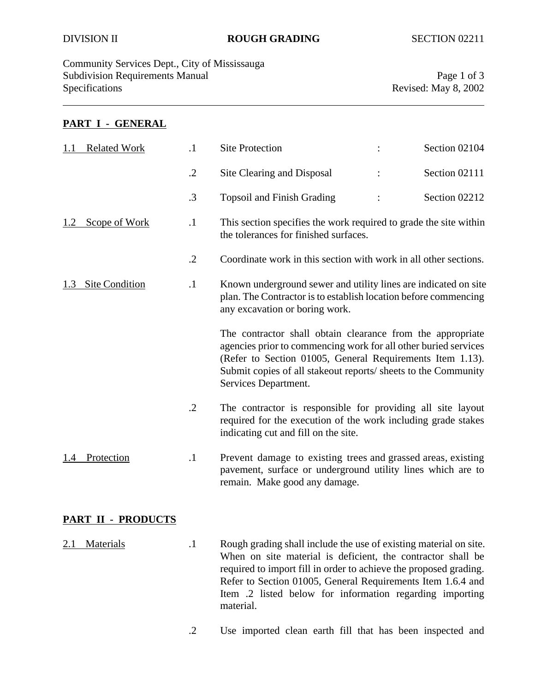### DIVISION II **ROUGH GRADING** SECTION 02211

Community Services Dept., City of Mississauga Subdivision Requirements Manual Page 1 of 3 Specifications Revised: May 8, 2002

#### **PART I - GENERAL**

|                    | <b>Related Work</b> | $\cdot$ 1  | <b>Site Protection</b>                                                                                                                                                                                                                                                               |  | Section 02104 |  |
|--------------------|---------------------|------------|--------------------------------------------------------------------------------------------------------------------------------------------------------------------------------------------------------------------------------------------------------------------------------------|--|---------------|--|
|                    |                     | $\cdot$ .2 | Site Clearing and Disposal                                                                                                                                                                                                                                                           |  | Section 02111 |  |
|                    |                     | .3         | <b>Topsoil and Finish Grading</b>                                                                                                                                                                                                                                                    |  | Section 02212 |  |
|                    | Scope of Work       | $\cdot$ 1  | This section specifies the work required to grade the site within<br>the tolerances for finished surfaces.                                                                                                                                                                           |  |               |  |
|                    |                     | $\cdot$    | Coordinate work in this section with work in all other sections.                                                                                                                                                                                                                     |  |               |  |
|                    | 1.3 Site Condition  | $\cdot$    | Known underground sewer and utility lines are indicated on site<br>plan. The Contractor is to establish location before commencing<br>any excavation or boring work.                                                                                                                 |  |               |  |
|                    |                     |            | The contractor shall obtain clearance from the appropriate<br>agencies prior to commencing work for all other buried services<br>(Refer to Section 01005, General Requirements Item 1.13).<br>Submit copies of all stakeout reports/ sheets to the Community<br>Services Department. |  |               |  |
|                    |                     | $\cdot$ .2 | The contractor is responsible for providing all site layout<br>required for the execution of the work including grade stakes<br>indicating cut and fill on the site.                                                                                                                 |  |               |  |
| 1.4                | Protection          | $\cdot$ 1  | Prevent damage to existing trees and grassed areas, existing<br>pavement, surface or underground utility lines which are to<br>remain. Make good any damage.                                                                                                                         |  |               |  |
| PART II - PRODUCTS |                     |            |                                                                                                                                                                                                                                                                                      |  |               |  |
| 2.1                | Materials           | $\cdot$    | Rough grading shall include the use of existing material on site.                                                                                                                                                                                                                    |  |               |  |

When on site material is deficient, the contractor shall be required to import fill in order to achieve the proposed grading. Refer to Section 01005, General Requirements Item 1.6.4 and Item .2 listed below for information regarding importing material.

.2 Use imported clean earth fill that has been inspected and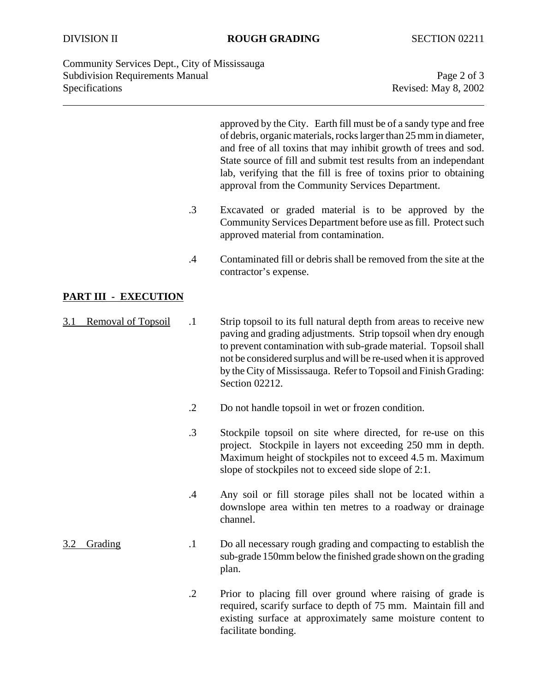#### DIVISION II **ROUGH GRADING** SECTION 02211

Community Services Dept., City of Mississauga Subdivision Requirements Manual Page 2 of 3 Specifications Revised: May 8, 2002

approved by the City. Earth fill must be of a sandy type and free of debris, organic materials, rocks larger than 25 mm in diameter, and free of all toxins that may inhibit growth of trees and sod. State source of fill and submit test results from an independant lab, verifying that the fill is free of toxins prior to obtaining approval from the Community Services Department.

- .3 Excavated or graded material is to be approved by the Community Services Department before use as fill. Protect such approved material from contamination.
- .4 Contaminated fill or debris shall be removed from the site at the contractor's expense.

### **PART III - EXECUTION**

- 3.1 Removal of Topsoil .1 Strip topsoil to its full natural depth from areas to receive new paving and grading adjustments. Strip topsoil when dry enough to prevent contamination with sub-grade material. Topsoil shall not be considered surplus and will be re-used when it is approved by the City of Mississauga. Refer to Topsoil and Finish Grading: Section 02212.
	- .2 Do not handle topsoil in wet or frozen condition.
	- .3 Stockpile topsoil on site where directed, for re-use on this project. Stockpile in layers not exceeding 250 mm in depth. Maximum height of stockpiles not to exceed 4.5 m. Maximum slope of stockpiles not to exceed side slope of 2:1.
	- .4 Any soil or fill storage piles shall not be located within a downslope area within ten metres to a roadway or drainage channel.
- 3.2 Grading .1 Do all necessary rough grading and compacting to establish the sub-grade 150mm below the finished grade shown on the grading plan.
	- .2 Prior to placing fill over ground where raising of grade is required, scarify surface to depth of 75 mm. Maintain fill and existing surface at approximately same moisture content to facilitate bonding.